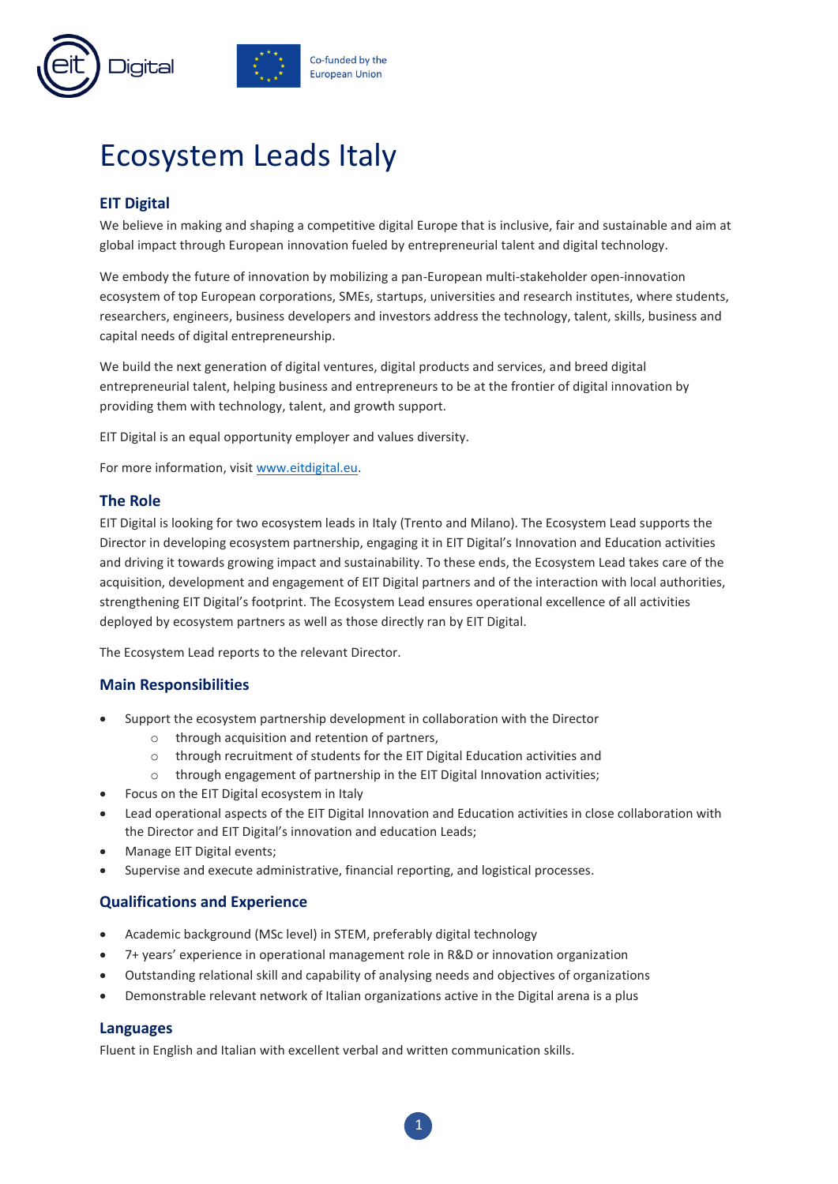

# Ecosystem Leads Italy

## **EIT Digital**

We believe in making and shaping a competitive digital Europe that is inclusive, fair and sustainable and aim at global impact through European innovation fueled by entrepreneurial talent and digital technology.

We embody the future of innovation by mobilizing a pan-European multi-stakeholder open-innovation ecosystem of top European corporations, SMEs, startups, universities and research institutes, where students, researchers, engineers, business developers and investors address the technology, talent, skills, business and capital needs of digital entrepreneurship.

We build the next generation of digital ventures, digital products and services, and breed digital entrepreneurial talent, helping business and entrepreneurs to be at the frontier of digital innovation by providing them with technology, talent, and growth support.

EIT Digital is an equal opportunity employer and values diversity.

For more information, visit [www.eitdigital.eu.](http://www.eitdigital.eu/)

#### **The Role**

EIT Digital is looking for two ecosystem leads in Italy (Trento and Milano). The Ecosystem Lead supports the Director in developing ecosystem partnership, engaging it in EIT Digital's Innovation and Education activities and driving it towards growing impact and sustainability. To these ends, the Ecosystem Lead takes care of the acquisition, development and engagement of EIT Digital partners and of the interaction with local authorities, strengthening EIT Digital's footprint. The Ecosystem Lead ensures operational excellence of all activities deployed by ecosystem partners as well as those directly ran by EIT Digital.

The Ecosystem Lead reports to the relevant Director.

#### **Main Responsibilities**

- Support the ecosystem partnership development in collaboration with the Director
	- o through acquisition and retention of partners,
	- o through recruitment of students for the EIT Digital Education activities and
	- o through engagement of partnership in the EIT Digital Innovation activities;
- Focus on the EIT Digital ecosystem in Italy
- Lead operational aspects of the EIT Digital Innovation and Education activities in close collaboration with the Director and EIT Digital's innovation and education Leads;
- Manage EIT Digital events;
- Supervise and execute administrative, financial reporting, and logistical processes.

#### **Qualifications and Experience**

- Academic background (MSc level) in STEM, preferably digital technology
- 7+ years' experience in operational management role in R&D or innovation organization
- Outstanding relational skill and capability of analysing needs and objectives of organizations
- Demonstrable relevant network of Italian organizations active in the Digital arena is a plus

#### **Languages**

Fluent in English and Italian with excellent verbal and written communication skills.

1